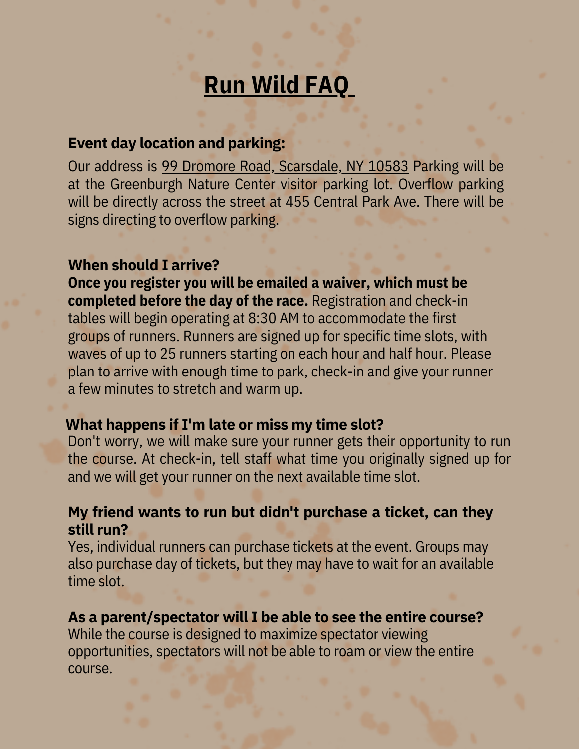# **Run Wild FAQ**

## **Event day location and parking:**

Our address is 99 Dromore Road, Scarsdale, NY 10583 Parking will be at the Greenburgh Nature Center visitor parking lot. Overflow parking will be directly across the street at 455 Central Park Ave. There will be signs directing to overflow parking.

### **When should I arrive?**

**Once you register you will be emailed a waiver, which must be completed before the day of the race.** Registration and check-in tables will begin operating at 8:30 AM to accommodate the first groups of runners. Runners are signed up for specific time slots, with waves of up to 25 runners starting on each hour and half hour. Please plan to arrive with enough time to park, check-in and give your runner a few minutes to stretch and warm up.

### **What happens if I'm late or miss my time slot?**

Don't worry, we will make sure your runner gets their opportunity to run the course. At check-in, tell staff what time you originally signed up for and we will get your runner on the next available time slot.

## **My friend wants to run but didn't purchase a ticket, can they still run?**

Yes, individual runners can purchase tickets at the event. Groups may also purchase day of tickets, but they may have to wait for an available time slot.

### **As a parent/spectator will I be able to see the entire course?**

While the course is designed to maximize spectator viewing opportunities, spectators will not be able to roam or view the entire course.